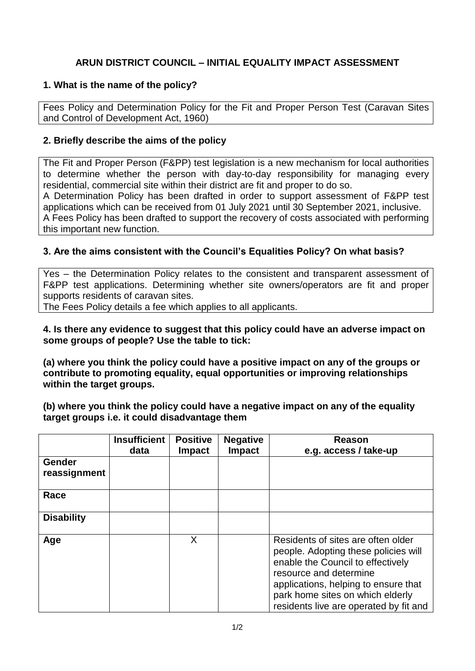# **ARUN DISTRICT COUNCIL – INITIAL EQUALITY IMPACT ASSESSMENT**

## **1. What is the name of the policy?**

Fees Policy and Determination Policy for the Fit and Proper Person Test (Caravan Sites and Control of Development Act, 1960)

### **2. Briefly describe the aims of the policy**

The Fit and Proper Person (F&PP) test legislation is a new mechanism for local authorities to determine whether the person with day-to-day responsibility for managing every residential, commercial site within their district are fit and proper to do so.

A Determination Policy has been drafted in order to support assessment of F&PP test applications which can be received from 01 July 2021 until 30 September 2021, inclusive. A Fees Policy has been drafted to support the recovery of costs associated with performing this important new function.

# **3. Are the aims consistent with the Council's Equalities Policy? On what basis?**

Yes – the Determination Policy relates to the consistent and transparent assessment of F&PP test applications. Determining whether site owners/operators are fit and proper supports residents of caravan sites.

The Fees Policy details a fee which applies to all applicants.

**4. Is there any evidence to suggest that this policy could have an adverse impact on some groups of people? Use the table to tick:**

**(a) where you think the policy could have a positive impact on any of the groups or contribute to promoting equality, equal opportunities or improving relationships within the target groups.**

**(b) where you think the policy could have a negative impact on any of the equality target groups i.e. it could disadvantage them**

|                               | <b>Insufficient</b><br>data | <b>Positive</b><br><b>Impact</b> | <b>Negative</b><br><b>Impact</b> | Reason<br>e.g. access / take-up                                                                                                                                                                                                                                 |  |
|-------------------------------|-----------------------------|----------------------------------|----------------------------------|-----------------------------------------------------------------------------------------------------------------------------------------------------------------------------------------------------------------------------------------------------------------|--|
| <b>Gender</b><br>reassignment |                             |                                  |                                  |                                                                                                                                                                                                                                                                 |  |
| Race                          |                             |                                  |                                  |                                                                                                                                                                                                                                                                 |  |
| <b>Disability</b>             |                             |                                  |                                  |                                                                                                                                                                                                                                                                 |  |
| Age                           |                             | X                                |                                  | Residents of sites are often older<br>people. Adopting these policies will<br>enable the Council to effectively<br>resource and determine<br>applications, helping to ensure that<br>park home sites on which elderly<br>residents live are operated by fit and |  |